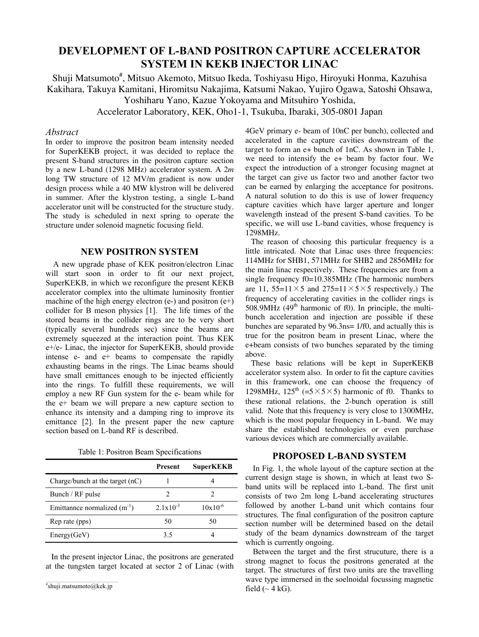# **DEVELOPMENT OF L-BAND POSITRON CAPTURE ACCELERATOR SYSTEM IN KEKB INJECTOR LINAC**

Shuji Matsumoto<sup>#</sup>, Mitsuo Akemoto, Mitsuo Ikeda, Toshiyasu Higo, Hiroyuki Honma, Kazuhisa Kakihara, Takuya Kamitani, Hiromitsu Nakajima, Katsumi Nakao, Yujiro Ogawa, Satoshi Ohsawa, Yoshiharu Yano, Kazue Yokoyama and Mitsuhiro Yoshida,

Accelerator Laboratory, KEK, Oho1-1, Tsukuba, Ibaraki, 305-0801 Japan

## *Abstract*

In order to improve the positron beam intensity needed for SuperKEKB project, it was decided to replace the present S-band structures in the positron capture section by a new L-band (1298 MHz) accelerator system. A 2*m*  long TW structure of 12 MV/m gradient is now under design process while a 40 MW klystron will be delivered in summer. After the klystron testing, a single L-band accelerator unit will be constructed for the structure study. The study is scheduled in next spring to operate the structure under solenoid magnetic focusing field.

## **NEW POSITRON SYSTEM**

A new upgrade phase of KEK positron/electron Linac will start soon in order to fit our next project, SuperKEKB, in which we reconfigure the present KEKB accelerator complex into the ultimate luminosity frontier machine of the high energy electron  $(e-)$  and positron  $(e+)$ collider for B meson physics [1]. The life times of the stored beams in the collider rings are to be very short (typically several hundreds sec) since the beams are extremely squeezed at the interaction point. Thus KEK e+/e- Linac, the injector for SuperKEKB, should provide intense e- and e+ beams to compensate the rapidly exhausting beams in the rings. The Linac beams should have small emittances enough to be injected efficiently into the rings. To fulfill these requirements, we will employ a new RF Gun system for the e- beam while for the e+ beam we will prepare a new capture section to enhance its intensity and a damping ring to improve its emittance [2]. In the present paper the new capture section based on L-band RF is described.

Table 1: Positron Beam Specifications

|                                   | Present       | <b>SuperKEKB</b> |
|-----------------------------------|---------------|------------------|
| Charge/bunch at the target $(nC)$ |               |                  |
| Bunch / RF pulse                  | 2             |                  |
| Emittannee normalized $(m^{-1})$  | $2.1x10^{-3}$ | $10x10^{-6}$     |
| Rep rate (pps)                    | 50            | 50               |
| Energy(GeV)                       | 35            |                  |

In the present injector Linac, the positrons are generated at the tungsten target located at sector 2 of Linac (with 4GeV primary e- beam of 10nC per bunch), collected and accelerated in the capture cavities downstream of the target to form an e+ bunch of 1nC. As shown in Table 1, we need to intensify the e+ beam by factor four. We expect the introduction of a stronger focusing magnet at the target can give us factor two and another factor two can be earned by enlarging the acceptance for positrons. A natural solution to do this is use of lower frequency capture cavities which have larger aperture and longer wavelength instead of the present S-band cavities. To be specific, we will use L-band cavities, whose frequency is 1298MHz.

The reason of choosing this particular frequency is a little intricated. Note that Linac uses three frequencies: 114MHz for SHB1, 571MHz for SHB2 and 2856MHz for the main linac respectively. These frequencies are from a single frequency f0=10.385MHz (The harmonic numbers are 11, 55= $11 \times 5$  and 275= $11 \times 5 \times 5$  respectively.) The frequency of accelerating cavities in the collider rings is  $508.9$ MHz  $(49<sup>th</sup>$  harmonic of f0). In principle, the multibunch acceleration and injection are possible if these bunches are separated by 96.3ns= 1/f0, and actually this is true for the positron beam in present Linac, where the e+beam consists of two bunches separated by the timing above.

These basic relations will be kept in SuperKEKB accelerator system also. In order to fit the capture cavities in this framework, one can choose the frequency of 1298MHz,  $125^{th}$  (=5×5×5) harmonic of f0. Thanks to these rational relations, the 2-bunch operation is still valid. Note that this frequency is very close to 1300MHz, which is the most popular frequency in L-band. We may share the established technologies or even purchase various devices which are commercially available.

## **PROPOSED L-BAND SYSTEM**

In Fig. 1, the whole layout of the capture section at the current design stage is shown, in which at least two Sband units will be replaced into L-band. The first unit consists of two 2m long L-band accelerating structures followed by another L-band unit which contains four structures. The final configuration of the positron capture section number will be determined based on the detail study of the beam dynamics downstream of the target which is currently ongoing.

Between the target and the first strucuture, there is a strong magnet to focus the positrons generated at the target. The structures of first two units are the travelling wave type immersed in the soelnoidal focussing magnetic field  $({\sim} 4 \text{ kG}).$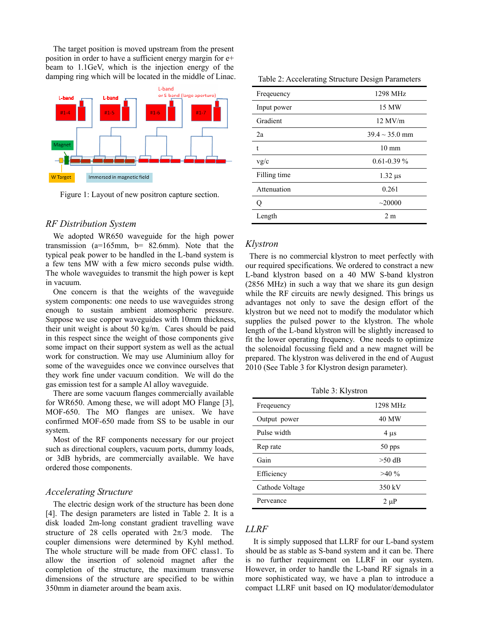The target position is moved upstream from the present position in order to have a sufficient energy margin for e+ beam to 1.1GeV, which is the injection energy of the damping ring which will be located in the middle of Linac.



Figure 1: Layout of new positron capture section.

#### *RF Distribution System*

We adopted WR650 waveguide for the high power transmission (a=165mm, b= 82.6mm). Note that the typical peak power to be handled in the L-band system is a few tens MW with a few micro seconds pulse width. The whole waveguides to transmit the high power is kept in vacuum.

One concern is that the weights of the waveguide system components: one needs to use waveguides strong enough to sustain ambient atomospheric pressure. Suppose we use copper waveguides with 10mm thickness, their unit weight is about 50 kg/m. Cares should be paid in this respect since the weight of those components give some impact on their support system as well as the actual work for construction. We may use Aluminium alloy for some of the waveguides once we convince ourselves that they work fine under vacuum condition. We will do the gas emission test for a sample Al alloy waveguide.

There are some vacuum flanges commercially available for WR650. Among these, we will adopt MO Flange [3], MOF-650. The MO flanges are unisex. We have confirmed MOF-650 made from SS to be usable in our system.

Most of the RF components necessary for our project such as directional couplers, vacuum ports, dummy loads, or 3dB hybrids, are commercially available. We have ordered those components.

#### *Accelerating Structure*

The electric design work of the structure has been done [4]. The design parameters are listed in Table 2. It is a disk loaded 2m-long constant gradient travelling wave structure of 28 cells operated with  $2\pi/3$  mode. The coupler dimensions were determined by Kyhl method. The whole structure will be made from OFC class1. To allow the insertion of solenoid magnet after the completion of the structure, the maximum transverse dimensions of the structure are specified to be within 350mm in diameter around the beam axis.

| Table 2: Accelerating Structure Design Parameters |  |  |
|---------------------------------------------------|--|--|
|                                                   |  |  |

| Freqeuency   | 1298 MHz            |  |
|--------------|---------------------|--|
| Input power  | 15 MW               |  |
| Gradient     | $12$ MV/m           |  |
| 2a           | $39.4 \sim 35.0$ mm |  |
| $\mathbf t$  | $10 \text{ mm}$     |  |
| v g/c        | $0.61 - 0.39 \%$    |  |
| Filling time | $1.32 \mu s$        |  |
| Attenuation  | 0.261               |  |
|              | $\sim$ 20000        |  |
| Length       | 2 <sub>m</sub>      |  |

#### *Klystron*

There is no commercial klystron to meet perfectly with our required specifications. We ordered to constract a new L-band klystron based on a 40 MW S-band klystron (2856 MHz) in such a way that we share its gun design while the RF circuits are newly designed. This brings us advantages not only to save the design effort of the klystron but we need not to modify the modulator which supplies the pulsed power to the klystron. The whole length of the L-band klystron will be slightly increased to fit the lower operating frequency. One needs to optimize the solenoidal focussing field and a new magnet will be prepared. The klystron was delivered in the end of August 2010 (See Table 3 for Klystron design parameter).

Table 3: Klystron

| Freqeuency      | 1298 MHz     |
|-----------------|--------------|
| Output power    | <b>40 MW</b> |
| Pulse width     | $4 \mu s$    |
| Rep rate        | 50 pps       |
| Gain            | $>50$ dB     |
| Efficiency      | $>40\%$      |
| Cathode Voltage | 350 kV       |
| Perveance       | $2 \mu P$    |

## *LLRF*

It is simply supposed that LLRF for our L-band system should be as stable as S-band system and it can be. There is no further requirement on LLRF in our system. However, in order to handle the L-band RF signals in a more sophisticated way, we have a plan to introduce a compact LLRF unit based on IQ modulator/demodulator